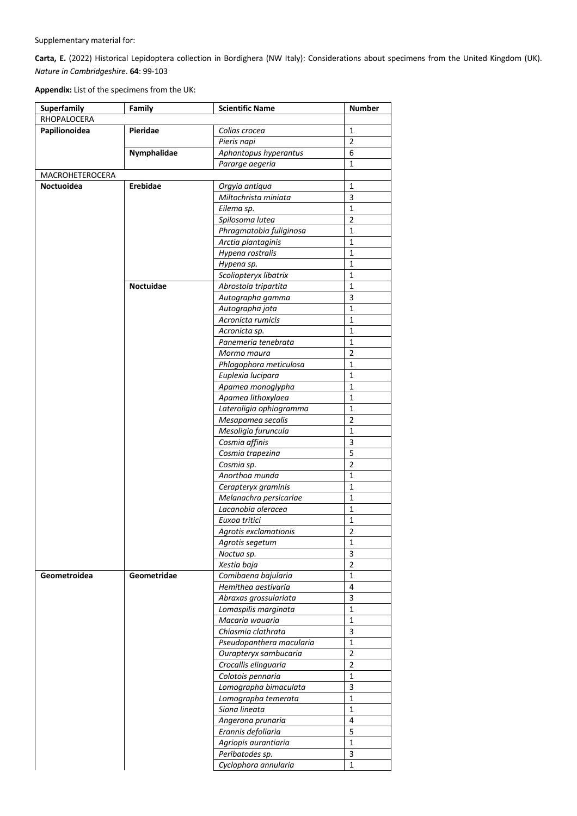Supplementary material for:

**Carta, E.** (2022) Historical Lepidoptera collection in Bordighera (NW Italy): Considerations about specimens from the United Kingdom (UK). *Nature in Cambridgeshire*. **64**: 99-103

**Appendix:** List of the specimens from the UK:

| Superfamily     | Family      | <b>Scientific Name</b>   | <b>Number</b>  |
|-----------------|-------------|--------------------------|----------------|
| RHOPALOCERA     |             |                          |                |
| Papilionoidea   | Pieridae    | Colias crocea            | $\mathbf{1}$   |
|                 |             | Pieris napi              | $\overline{2}$ |
|                 | Nymphalidae | Aphantopus hyperantus    | 6              |
|                 |             | Pararge aegeria          | $\mathbf{1}$   |
| MACROHETEROCERA |             |                          |                |
| Noctuoidea      | Erebidae    | Orgyia antiqua           | $\mathbf 1$    |
|                 |             | Miltochrista miniata     | $\mathsf 3$    |
|                 |             | Eilema sp.               | $\mathbf{1}$   |
|                 |             | Spilosoma lutea          | $\overline{2}$ |
|                 |             | Phragmatobia fuliginosa  | $\mathbf 1$    |
|                 |             | Arctia plantaginis       | $\mathbf{1}$   |
|                 |             | Hypena rostralis         | $\mathbf{1}$   |
|                 |             | Hypena sp.               | $\mathbf 1$    |
|                 |             | Scoliopteryx libatrix    | $\mathbf{1}$   |
|                 | Noctuidae   | Abrostola tripartita     | $\mathbf 1$    |
|                 |             | Autographa gamma         | $\mathsf 3$    |
|                 |             | Autographa jota          | $\mathbf 1$    |
|                 |             | Acronicta rumicis        | $\mathbf 1$    |
|                 |             | Acronicta sp.            | $\mathbf 1$    |
|                 |             | Panemeria tenebrata      | $\mathbf 1$    |
|                 |             | Mormo maura              | $\overline{2}$ |
|                 |             | Phlogophora meticulosa   | $\mathbf 1$    |
|                 |             | Euplexia lucipara        | $\mathbf{1}$   |
|                 |             | Apamea monoglypha        | $\mathbf 1$    |
|                 |             | Apamea lithoxylaea       | $\mathbf 1$    |
|                 |             | Lateroligia ophiogramma  | $\mathbf{1}$   |
|                 |             | Mesapamea secalis        | $\overline{2}$ |
|                 |             | Mesoligia furuncula      | $\mathbf 1$    |
|                 |             | Cosmia affinis           | $\overline{3}$ |
|                 |             | Cosmia trapezina         | $\overline{5}$ |
|                 |             | Cosmia sp.               | $\overline{2}$ |
|                 |             | Anorthoa munda           | $\mathbf{1}$   |
|                 |             | Cerapteryx graminis      | $\mathbf{1}$   |
|                 |             | Melanachra persicariae   | $\mathbf{1}$   |
|                 |             | Lacanobia oleracea       | $\mathbf{1}$   |
|                 |             | Euxoa tritici            | $\mathbf 1$    |
|                 |             | Agrotis exclamationis    | $\overline{2}$ |
|                 |             | Agrotis segetum          | 1              |
|                 |             | Noctua sp.               | 3              |
|                 |             | Xestia baja              | $\overline{2}$ |
| Geometroidea    | Geometridae | Comibaena bajularia      | $\mathbf 1$    |
|                 |             | Hemithea aestivaria      | 4              |
|                 |             | Abraxas grossulariata    | 3              |
|                 |             | Lomaspilis marginata     | $\mathbf{1}$   |
|                 |             | Macaria wauaria          | $\mathbf{1}$   |
|                 |             | Chiasmia clathrata       | 3              |
|                 |             | Pseudopanthera macularia | $\mathbf{1}$   |
|                 |             | Ourapteryx sambucaria    | $\overline{2}$ |
|                 |             | Crocallis elinguaria     | $\overline{2}$ |
|                 |             | Colotois pennaria        | $\mathbf 1$    |
|                 |             | Lomographa bimaculata    | 3              |
|                 |             | Lomographa temerata      | $\mathbf 1$    |
|                 |             | Siona lineata            | $\mathbf 1$    |
|                 |             | Angerona prunaria        | $\overline{4}$ |
|                 |             | Erannis defoliaria       | 5              |
|                 |             | Agriopis aurantiaria     | $\mathbf{1}$   |
|                 |             | Peribatodes sp.          | 3              |
|                 |             | Cyclophora annularia     | $\mathbf{1}$   |